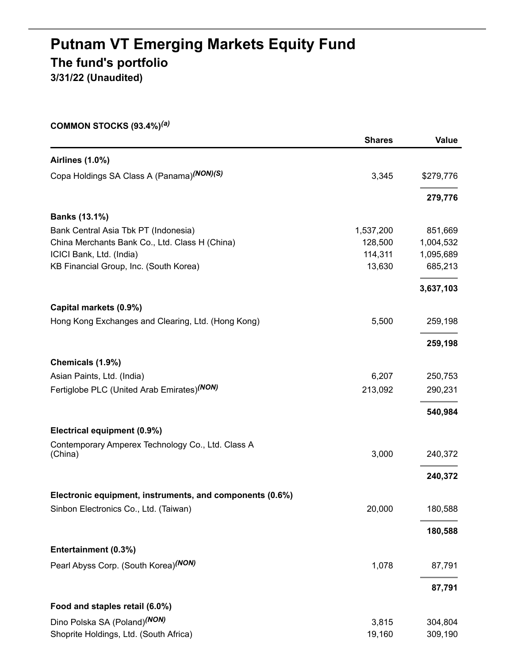# **Putnam VT Emerging Markets Equity Fund The fund's portfolio**

**3/31/22 (Unaudited)**

|  | COMMON STOCKS $(93.4\%)^{(a)}$ |  |  |
|--|--------------------------------|--|--|
|--|--------------------------------|--|--|

|                                                          | <b>Shares</b> | <b>Value</b> |
|----------------------------------------------------------|---------------|--------------|
| <b>Airlines (1.0%)</b>                                   |               |              |
| Copa Holdings SA Class A (Panama)(NON)(S)                | 3,345         | \$279,776    |
|                                                          |               | 279,776      |
| <b>Banks (13.1%)</b>                                     |               |              |
| Bank Central Asia Tbk PT (Indonesia)                     | 1,537,200     | 851,669      |
| China Merchants Bank Co., Ltd. Class H (China)           | 128,500       | 1,004,532    |
| ICICI Bank, Ltd. (India)                                 | 114,311       | 1,095,689    |
| KB Financial Group, Inc. (South Korea)                   | 13,630        | 685,213      |
|                                                          |               | 3,637,103    |
| Capital markets (0.9%)                                   |               |              |
| Hong Kong Exchanges and Clearing, Ltd. (Hong Kong)       | 5,500         | 259,198      |
|                                                          |               | 259,198      |
| Chemicals (1.9%)                                         |               |              |
| Asian Paints, Ltd. (India)                               | 6,207         | 250,753      |
| Fertiglobe PLC (United Arab Emirates)(NON)               | 213,092       | 290,231      |
|                                                          |               | 540,984      |
| Electrical equipment (0.9%)                              |               |              |
| Contemporary Amperex Technology Co., Ltd. Class A        |               |              |
| (China)                                                  | 3,000         | 240,372      |
|                                                          |               | 240,372      |
| Electronic equipment, instruments, and components (0.6%) |               |              |
| Sinbon Electronics Co., Ltd. (Taiwan)                    | 20,000        | 180,588      |
|                                                          |               | 180,588      |
| Entertainment (0.3%)                                     |               |              |
| Pearl Abyss Corp. (South Korea)(NON)                     | 1,078         | 87,791       |
|                                                          |               | 87,791       |
| Food and staples retail (6.0%)                           |               |              |
| Dino Polska SA (Poland) <sup>(NON)</sup>                 | 3,815         | 304,804      |
| Shoprite Holdings, Ltd. (South Africa)                   | 19,160        | 309,190      |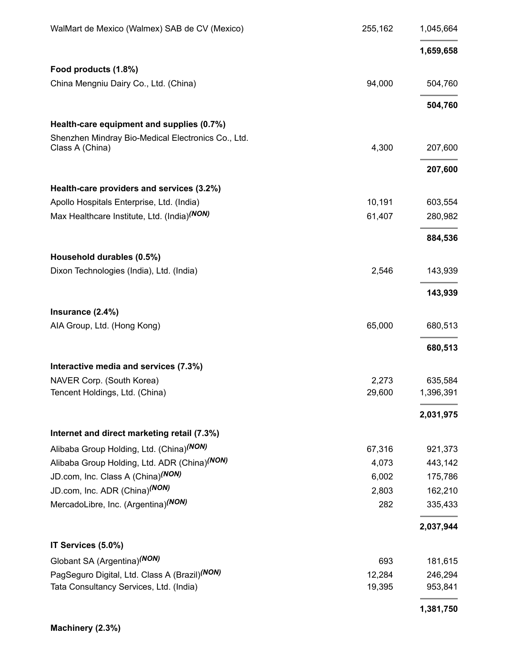| WalMart de Mexico (Walmex) SAB de CV (Mexico)           | 255,162 | 1,045,664 |
|---------------------------------------------------------|---------|-----------|
|                                                         |         | 1,659,658 |
| Food products (1.8%)                                    |         |           |
| China Mengniu Dairy Co., Ltd. (China)                   | 94,000  | 504,760   |
|                                                         |         | 504,760   |
| Health-care equipment and supplies (0.7%)               |         |           |
| Shenzhen Mindray Bio-Medical Electronics Co., Ltd.      |         |           |
| Class A (China)                                         | 4,300   | 207,600   |
|                                                         |         | 207,600   |
| Health-care providers and services (3.2%)               |         |           |
| Apollo Hospitals Enterprise, Ltd. (India)               | 10,191  | 603,554   |
| Max Healthcare Institute, Ltd. (India) <sup>(NON)</sup> | 61,407  | 280,982   |
|                                                         |         | 884,536   |
| Household durables (0.5%)                               |         |           |
| Dixon Technologies (India), Ltd. (India)                | 2,546   | 143,939   |
|                                                         |         | 143,939   |
| Insurance (2.4%)                                        |         |           |
| AIA Group, Ltd. (Hong Kong)                             | 65,000  | 680,513   |
|                                                         |         | 680,513   |
| Interactive media and services (7.3%)                   |         |           |
| NAVER Corp. (South Korea)                               | 2,273   | 635,584   |
| Tencent Holdings, Ltd. (China)                          | 29,600  | 1,396,391 |
|                                                         |         | 2,031,975 |
| Internet and direct marketing retail (7.3%)             |         |           |
| Alibaba Group Holding, Ltd. (China)(NON)                | 67,316  | 921,373   |
| Alibaba Group Holding, Ltd. ADR (China)(NON)            | 4,073   | 443,142   |
| JD.com, Inc. Class A (China)(NON)                       | 6,002   | 175,786   |
| JD.com, Inc. ADR (China) <sup>(NON)</sup>               | 2,803   | 162,210   |
| MercadoLibre, Inc. (Argentina)(NON)                     | 282     | 335,433   |
|                                                         |         | 2,037,944 |
| IT Services (5.0%)                                      |         |           |
| Globant SA (Argentina) <sup>(NON)</sup>                 | 693     | 181,615   |
| PagSeguro Digital, Ltd. Class A (Brazil)(NON)           | 12,284  | 246,294   |
| Tata Consultancy Services, Ltd. (India)                 | 19,395  | 953,841   |
|                                                         |         | 1,381,750 |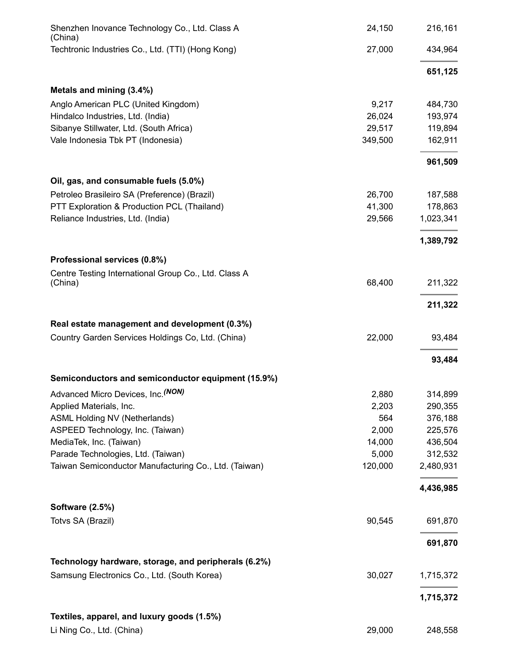| Shenzhen Inovance Technology Co., Ltd. Class A<br>(China) | 24,150  | 216,161   |
|-----------------------------------------------------------|---------|-----------|
| Techtronic Industries Co., Ltd. (TTI) (Hong Kong)         | 27,000  | 434,964   |
|                                                           |         | 651,125   |
| Metals and mining (3.4%)                                  |         |           |
| Anglo American PLC (United Kingdom)                       | 9,217   | 484,730   |
| Hindalco Industries, Ltd. (India)                         | 26,024  | 193,974   |
| Sibanye Stillwater, Ltd. (South Africa)                   | 29,517  | 119,894   |
| Vale Indonesia Tbk PT (Indonesia)                         | 349,500 | 162,911   |
|                                                           |         | 961,509   |
| Oil, gas, and consumable fuels (5.0%)                     |         |           |
| Petroleo Brasileiro SA (Preference) (Brazil)              | 26,700  | 187,588   |
| PTT Exploration & Production PCL (Thailand)               | 41,300  | 178,863   |
| Reliance Industries, Ltd. (India)                         | 29,566  | 1,023,341 |
|                                                           |         | 1,389,792 |
| Professional services (0.8%)                              |         |           |
| Centre Testing International Group Co., Ltd. Class A      |         |           |
| (China)                                                   | 68,400  | 211,322   |
|                                                           |         | 211,322   |
| Real estate management and development (0.3%)             |         |           |
| Country Garden Services Holdings Co, Ltd. (China)         | 22,000  | 93,484    |
|                                                           |         | 93,484    |
| Semiconductors and semiconductor equipment (15.9%)        |         |           |
| Advanced Micro Devices, Inc. (NON)                        | 2,880   | 314,899   |
| Applied Materials, Inc.                                   | 2,203   | 290,355   |
| ASML Holding NV (Netherlands)                             | 564     | 376,188   |
| ASPEED Technology, Inc. (Taiwan)                          | 2,000   | 225,576   |
| MediaTek, Inc. (Taiwan)                                   | 14,000  | 436,504   |
| Parade Technologies, Ltd. (Taiwan)                        | 5,000   | 312,532   |
| Taiwan Semiconductor Manufacturing Co., Ltd. (Taiwan)     | 120,000 | 2,480,931 |
|                                                           |         | 4,436,985 |
| <b>Software (2.5%)</b>                                    |         |           |
| Totvs SA (Brazil)                                         | 90,545  | 691,870   |
|                                                           |         | 691,870   |
| Technology hardware, storage, and peripherals (6.2%)      |         |           |
| Samsung Electronics Co., Ltd. (South Korea)               | 30,027  | 1,715,372 |
|                                                           |         | 1,715,372 |
| Textiles, apparel, and luxury goods (1.5%)                |         |           |
| Li Ning Co., Ltd. (China)                                 | 29,000  | 248,558   |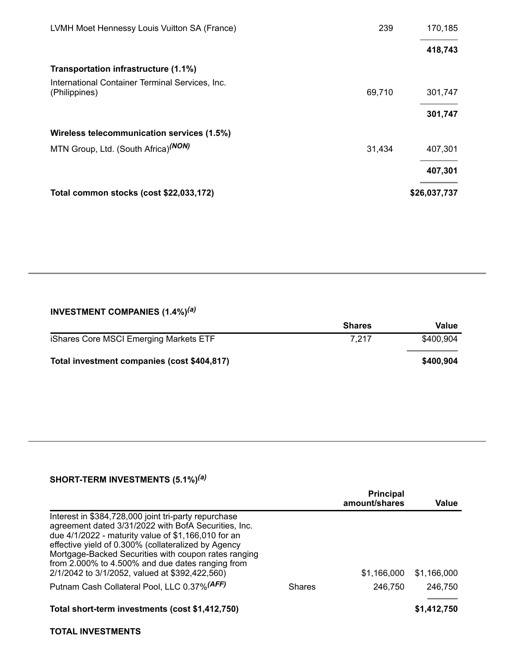| LVMH Moet Hennessy Louis Vuitton SA (France)                     | 239    | 170,185      |
|------------------------------------------------------------------|--------|--------------|
|                                                                  |        | 418,743      |
| Transportation infrastructure (1.1%)                             |        |              |
| International Container Terminal Services, Inc.<br>(Philippines) | 69,710 | 301,747      |
|                                                                  |        | 301,747      |
| Wireless telecommunication services (1.5%)                       |        |              |
| MTN Group, Ltd. (South Africa) <sup>(NON)</sup>                  | 31,434 | 407,301      |
|                                                                  |        | 407,301      |
| Total common stocks (cost \$22,033,172)                          |        | \$26,037,737 |

#### **INVESTMENT COMPANIES (1.4%)** *(a)*

| <b>Shares</b> | Value     |
|---------------|-----------|
| 7.217         | \$400.904 |
|               | \$400,904 |
|               |           |

### **SHORT-TERM INVESTMENTS (5.1%)** *(a)*

|                                                                                                                                                                                                                                                                                                                                                                                          |               | <b>Principal</b><br>amount/shares | Value       |
|------------------------------------------------------------------------------------------------------------------------------------------------------------------------------------------------------------------------------------------------------------------------------------------------------------------------------------------------------------------------------------------|---------------|-----------------------------------|-------------|
| Interest in \$384,728,000 joint tri-party repurchase<br>agreement dated 3/31/2022 with BofA Securities, Inc.<br>due 4/1/2022 - maturity value of \$1,166,010 for an<br>effective yield of 0.300% (collateralized by Agency<br>Mortgage-Backed Securities with coupon rates ranging<br>from 2.000% to 4.500% and due dates ranging from<br>2/1/2042 to 3/1/2052, valued at \$392,422,560) |               | \$1.166.000                       | \$1,166,000 |
| Putnam Cash Collateral Pool, LLC 0.37% (AFF)                                                                                                                                                                                                                                                                                                                                             | <b>Shares</b> | 246,750                           | 246,750     |
| Total short-term investments (cost \$1,412,750)                                                                                                                                                                                                                                                                                                                                          |               |                                   | \$1,412,750 |

#### **TOTAL INVESTMENTS**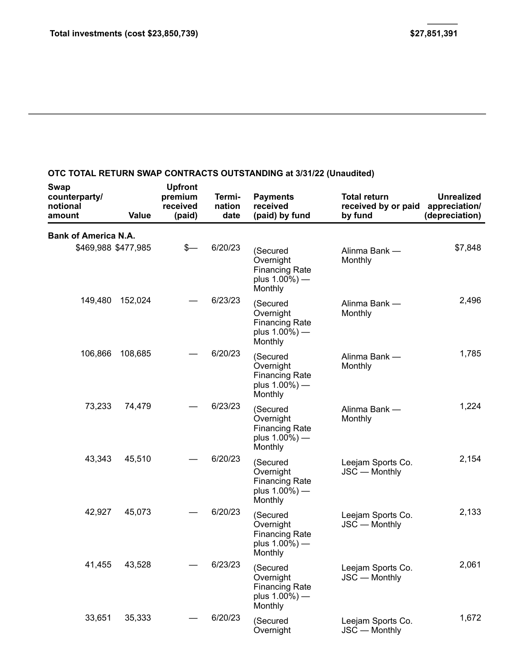## **OTC TOTAL RETURN SWAP CONTRACTS OUTSTANDING at 3/31/22 (Unaudited)**

| Swap<br>counterparty/<br>notional<br>amount        | <b>Value</b> | <b>Upfront</b><br>premium<br>received<br>(paid) | Termi-<br>nation<br>date | <b>Payments</b><br>received<br>(paid) by fund                                  | <b>Total return</b><br>received by or paid<br>by fund | <b>Unrealized</b><br>appreciation/<br>(depreciation) |
|----------------------------------------------------|--------------|-------------------------------------------------|--------------------------|--------------------------------------------------------------------------------|-------------------------------------------------------|------------------------------------------------------|
| <b>Bank of America N.A.</b><br>\$469,988 \$477,985 |              | $s-$                                            | 6/20/23                  | (Secured<br>Overnight<br><b>Financing Rate</b><br>plus $1.00\%$ ) —<br>Monthly | Alinma Bank -<br>Monthly                              | \$7,848                                              |
| 149,480                                            | 152,024      |                                                 | 6/23/23                  | (Secured<br>Overnight<br><b>Financing Rate</b><br>plus $1.00\%$ ) —<br>Monthly | Alinma Bank -<br>Monthly                              | 2,496                                                |
| 106,866                                            | 108,685      |                                                 | 6/20/23                  | (Secured<br>Overnight<br><b>Financing Rate</b><br>plus $1.00\%$ ) —<br>Monthly | Alinma Bank —<br>Monthly                              | 1,785                                                |
| 73,233                                             | 74,479       |                                                 | 6/23/23                  | (Secured<br>Overnight<br><b>Financing Rate</b><br>plus $1.00\%$ ) —<br>Monthly | Alinma Bank -<br>Monthly                              | 1,224                                                |
| 43,343                                             | 45,510       |                                                 | 6/20/23                  | (Secured<br>Overnight<br><b>Financing Rate</b><br>plus $1.00\%$ ) —<br>Monthly | Leejam Sports Co.<br>JSC — Monthly                    | 2,154                                                |
| 42,927                                             | 45,073       |                                                 | 6/20/23                  | (Secured<br>Overnight<br><b>Financing Rate</b><br>plus $1.00\%$ ) —<br>Monthly | Leejam Sports Co.<br>JSC - Monthly                    | 2,133                                                |
| 41,455                                             | 43,528       |                                                 | 6/23/23                  | (Secured<br>Overnight<br><b>Financing Rate</b><br>plus $1.00\%$ ) —<br>Monthly | Leejam Sports Co.<br>JSC - Monthly                    | 2,061                                                |
| 33,651                                             | 35,333       |                                                 | 6/20/23                  | (Secured<br>Overnight                                                          | Leejam Sports Co.<br>JSC - Monthly                    | 1,672                                                |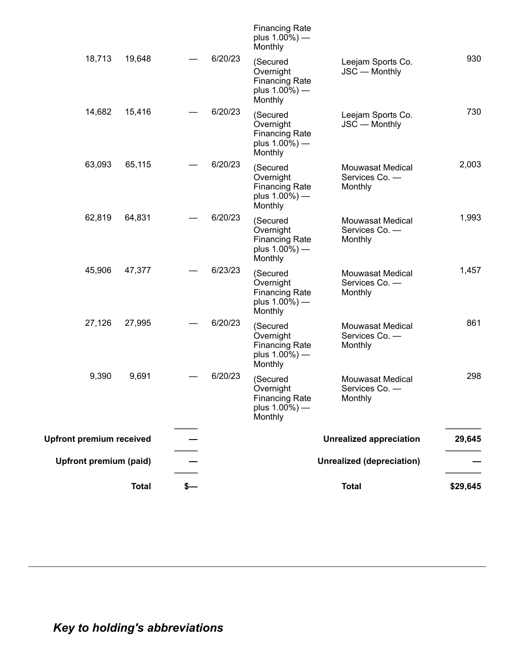|                                 | <b>Total</b> |         |                                                                                | <b>Total</b>                                         | \$29,645 |
|---------------------------------|--------------|---------|--------------------------------------------------------------------------------|------------------------------------------------------|----------|
| <b>Upfront premium (paid)</b>   |              |         |                                                                                | <b>Unrealized (depreciation)</b>                     |          |
| <b>Upfront premium received</b> |              |         |                                                                                | <b>Unrealized appreciation</b>                       | 29,645   |
| 9,390                           | 9,691        | 6/20/23 | (Secured<br>Overnight<br><b>Financing Rate</b><br>plus $1.00\%$ ) —<br>Monthly | Mouwasat Medical<br>Services Co. -<br>Monthly        | 298      |
| 27,126                          | 27,995       | 6/20/23 | (Secured<br>Overnight<br><b>Financing Rate</b><br>plus $1.00\%$ ) —<br>Monthly | <b>Mouwasat Medical</b><br>Services Co. -<br>Monthly | 861      |
| 45,906                          | 47,377       | 6/23/23 | (Secured<br>Overnight<br><b>Financing Rate</b><br>plus $1.00\%$ ) —<br>Monthly | <b>Mouwasat Medical</b><br>Services Co. -<br>Monthly | 1,457    |
| 62,819                          | 64,831       | 6/20/23 | (Secured<br>Overnight<br><b>Financing Rate</b><br>plus $1.00\%$ ) —<br>Monthly | Mouwasat Medical<br>Services Co. -<br>Monthly        | 1,993    |
| 63,093                          | 65,115       | 6/20/23 | (Secured<br>Overnight<br><b>Financing Rate</b><br>plus $1.00\%$ ) —<br>Monthly | Mouwasat Medical<br>Services Co. -<br>Monthly        | 2,003    |
| 14,682                          | 15,416       | 6/20/23 | (Secured<br>Overnight<br><b>Financing Rate</b><br>plus 1.00%) -<br>Monthly     | Leejam Sports Co.<br>JSC - Monthly                   | 730      |
| 18,713                          | 19,648       | 6/20/23 | (Secured<br>Overnight<br><b>Financing Rate</b><br>plus $1.00\%$ ) —<br>Monthly | Leejam Sports Co.<br>JSC - Monthly                   | 930      |
|                                 |              |         | <b>Financing Rate</b><br>plus $1.00\%$ ) —<br>Monthly                          |                                                      |          |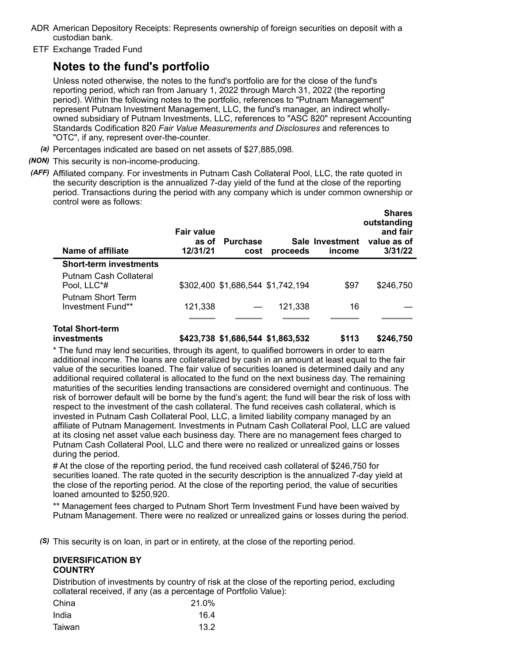- ADR American Depository Receipts: Represents ownership of foreign securities on deposit with a custodian bank.
- ETF Exchange Traded Fund

# **Notes to the fund's portfolio**

Unless noted otherwise, the notes to the fund's portfolio are for the close of the fund's reporting period, which ran from January 1, 2022 through March 31, 2022 (the reporting period). Within the following notes to the portfolio, references to "Putnam Management" represent Putnam Investment Management, LLC, the fund's manager, an indirect whollyowned subsidiary of Putnam Investments, LLC, references to "ASC 820" represent Accounting Standards Codification 820 *Fair Value Measurements and Disclosures* and references to "OTC", if any, represent over-the-counter.

- *(a)* Percentages indicated are based on net assets of \$27,885,098.
- *(NON)* This security is non-income-producing.
- *(AFF)* Affiliated company. For investments in Putnam Cash Collateral Pool, LLC, the rate quoted in the security description is the annualized 7-day yield of the fund at the close of the reporting period. Transactions during the period with any company which is under common ownership or control were as follows:

| Name of affiliate                             | <b>Fair value</b><br>as of<br>12/31/21 | <b>Purchase</b><br>cost           | proceeds | Sale Investment<br>income | <b>Shares</b><br>outstanding<br>and fair<br>value as of<br>3/31/22 |
|-----------------------------------------------|----------------------------------------|-----------------------------------|----------|---------------------------|--------------------------------------------------------------------|
| <b>Short-term investments</b>                 |                                        |                                   |          |                           |                                                                    |
| Putnam Cash Collateral<br>Pool, LLC*#         |                                        | \$302,400 \$1,686,544 \$1,742,194 |          | \$97                      | \$246,750                                                          |
| <b>Putnam Short Term</b><br>Investment Fund** | 121,338                                |                                   | 121,338  | 16                        |                                                                    |
| Total Short-term<br>investments               |                                        | \$423,738 \$1,686,544 \$1,863,532 |          | \$113                     | \$246,750                                                          |

\* The fund may lend securities, through its agent, to qualified borrowers in order to earn additional income. The loans are collateralized by cash in an amount at least equal to the fair value of the securities loaned. The fair value of securities loaned is determined daily and any additional required collateral is allocated to the fund on the next business day. The remaining maturities of the securities lending transactions are considered overnight and continuous. The risk of borrower default will be borne by the fund's agent; the fund will bear the risk of loss with respect to the investment of the cash collateral. The fund receives cash collateral, which is invested in Putnam Cash Collateral Pool, LLC, a limited liability company managed by an affiliate of Putnam Management. Investments in Putnam Cash Collateral Pool, LLC are valued at its closing net asset value each business day. There are no management fees charged to Putnam Cash Collateral Pool, LLC and there were no realized or unrealized gains or losses during the period.

# At the close of the reporting period, the fund received cash collateral of \$246,750 for securities loaned. The rate quoted in the security description is the annualized 7-day yield at the close of the reporting period. At the close of the reporting period, the value of securities loaned amounted to \$250,920.

\*\* Management fees charged to Putnam Short Term Investment Fund have been waived by Putnam Management. There were no realized or unrealized gains or losses during the period.

*(S)* This security is on loan, in part or in entirety, at the close of the reporting period.

#### **DIVERSIFICATION BY COUNTRY**

Distribution of investments by country of risk at the close of the reporting period, excluding collateral received, if any (as a percentage of Portfolio Value):

| China  | 21.0% |
|--------|-------|
| India  | 16.4  |
| Taiwan | 13.2  |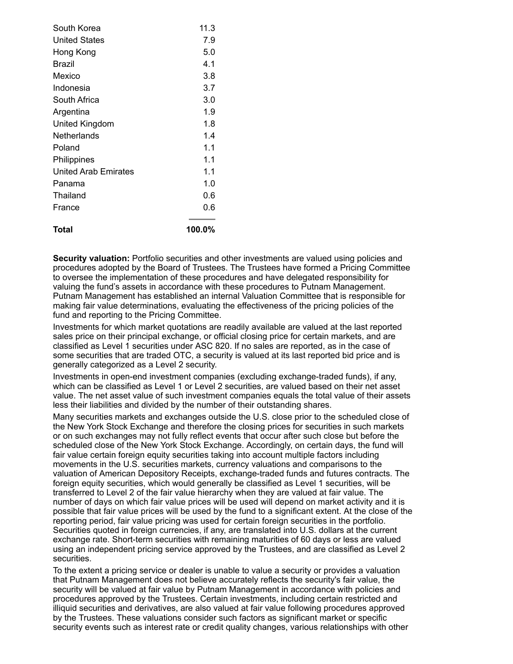| South Korea                 | 11.3   |
|-----------------------------|--------|
| United States               | 7.9    |
| Hong Kong                   | 5.0    |
| Brazil                      | 4.1    |
| Mexico                      | 3.8    |
| Indonesia                   | 3.7    |
| South Africa                | 3.0    |
| Argentina                   | 1.9    |
| United Kingdom              | 1.8    |
| Netherlands                 | 1.4    |
| Poland                      | 1.1    |
| Philippines                 | 1.1    |
| <b>United Arab Emirates</b> | 1.1    |
| Panama                      | 1.0    |
| Thailand                    | 0.6    |
| France                      | 0.6    |
| Total                       | 100.0% |

**Security valuation:** Portfolio securities and other investments are valued using policies and procedures adopted by the Board of Trustees. The Trustees have formed a Pricing Committee to oversee the implementation of these procedures and have delegated responsibility for valuing the fund's assets in accordance with these procedures to Putnam Management. Putnam Management has established an internal Valuation Committee that is responsible for making fair value determinations, evaluating the effectiveness of the pricing policies of the fund and reporting to the Pricing Committee.

Investments for which market quotations are readily available are valued at the last reported sales price on their principal exchange, or official closing price for certain markets, and are classified as Level 1 securities under ASC 820. If no sales are reported, as in the case of some securities that are traded OTC, a security is valued at its last reported bid price and is generally categorized as a Level 2 security.

Investments in open-end investment companies (excluding exchange-traded funds), if any, which can be classified as Level 1 or Level 2 securities, are valued based on their net asset value. The net asset value of such investment companies equals the total value of their assets less their liabilities and divided by the number of their outstanding shares.

Many securities markets and exchanges outside the U.S. close prior to the scheduled close of the New York Stock Exchange and therefore the closing prices for securities in such markets or on such exchanges may not fully reflect events that occur after such close but before the scheduled close of the New York Stock Exchange. Accordingly, on certain days, the fund will fair value certain foreign equity securities taking into account multiple factors including movements in the U.S. securities markets, currency valuations and comparisons to the valuation of American Depository Receipts, exchange-traded funds and futures contracts. The foreign equity securities, which would generally be classified as Level 1 securities, will be transferred to Level 2 of the fair value hierarchy when they are valued at fair value. The number of days on which fair value prices will be used will depend on market activity and it is possible that fair value prices will be used by the fund to a significant extent. At the close of the reporting period, fair value pricing was used for certain foreign securities in the portfolio. Securities quoted in foreign currencies, if any, are translated into U.S. dollars at the current exchange rate. Short-term securities with remaining maturities of 60 days or less are valued using an independent pricing service approved by the Trustees, and are classified as Level 2 securities.

To the extent a pricing service or dealer is unable to value a security or provides a valuation that Putnam Management does not believe accurately reflects the security's fair value, the security will be valued at fair value by Putnam Management in accordance with policies and procedures approved by the Trustees. Certain investments, including certain restricted and illiquid securities and derivatives, are also valued at fair value following procedures approved by the Trustees. These valuations consider such factors as significant market or specific security events such as interest rate or credit quality changes, various relationships with other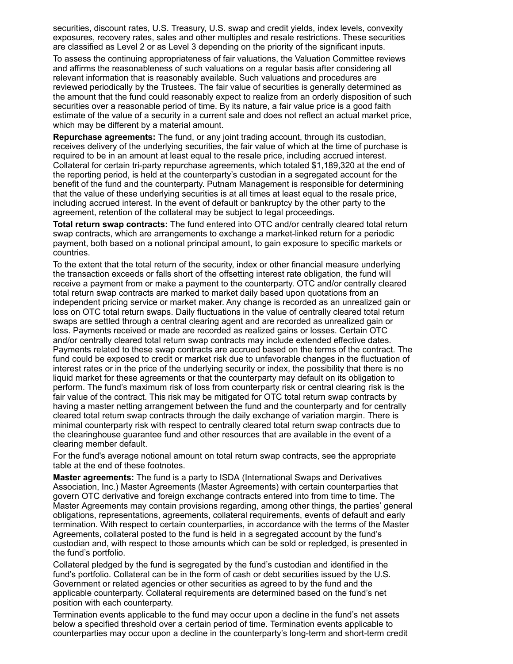securities, discount rates, U.S. Treasury, U.S. swap and credit yields, index levels, convexity exposures, recovery rates, sales and other multiples and resale restrictions. These securities are classified as Level 2 or as Level 3 depending on the priority of the significant inputs.

To assess the continuing appropriateness of fair valuations, the Valuation Committee reviews and affirms the reasonableness of such valuations on a regular basis after considering all relevant information that is reasonably available. Such valuations and procedures are reviewed periodically by the Trustees. The fair value of securities is generally determined as the amount that the fund could reasonably expect to realize from an orderly disposition of such securities over a reasonable period of time. By its nature, a fair value price is a good faith estimate of the value of a security in a current sale and does not reflect an actual market price, which may be different by a material amount.

**Repurchase agreements:** The fund, or any joint trading account, through its custodian, receives delivery of the underlying securities, the fair value of which at the time of purchase is required to be in an amount at least equal to the resale price, including accrued interest. Collateral for certain tri-party repurchase agreements, which totaled \$1,189,320 at the end of the reporting period, is held at the counterparty's custodian in a segregated account for the benefit of the fund and the counterparty. Putnam Management is responsible for determining that the value of these underlying securities is at all times at least equal to the resale price, including accrued interest. In the event of default or bankruptcy by the other party to the agreement, retention of the collateral may be subject to legal proceedings.

**Total return swap contracts:** The fund entered into OTC and/or centrally cleared total return swap contracts, which are arrangements to exchange a market-linked return for a periodic payment, both based on a notional principal amount, to gain exposure to specific markets or countries.

To the extent that the total return of the security, index or other financial measure underlying the transaction exceeds or falls short of the offsetting interest rate obligation, the fund will receive a payment from or make a payment to the counterparty. OTC and/or centrally cleared total return swap contracts are marked to market daily based upon quotations from an independent pricing service or market maker. Any change is recorded as an unrealized gain or loss on OTC total return swaps. Daily fluctuations in the value of centrally cleared total return swaps are settled through a central clearing agent and are recorded as unrealized gain or loss. Payments received or made are recorded as realized gains or losses. Certain OTC and/or centrally cleared total return swap contracts may include extended effective dates. Payments related to these swap contracts are accrued based on the terms of the contract. The fund could be exposed to credit or market risk due to unfavorable changes in the fluctuation of interest rates or in the price of the underlying security or index, the possibility that there is no liquid market for these agreements or that the counterparty may default on its obligation to perform. The fund's maximum risk of loss from counterparty risk or central clearing risk is the fair value of the contract. This risk may be mitigated for OTC total return swap contracts by having a master netting arrangement between the fund and the counterparty and for centrally cleared total return swap contracts through the daily exchange of variation margin. There is minimal counterparty risk with respect to centrally cleared total return swap contracts due to the clearinghouse guarantee fund and other resources that are available in the event of a clearing member default.

For the fund's average notional amount on total return swap contracts, see the appropriate table at the end of these footnotes.

**Master agreements:** The fund is a party to ISDA (International Swaps and Derivatives Association, Inc.) Master Agreements (Master Agreements) with certain counterparties that govern OTC derivative and foreign exchange contracts entered into from time to time. The Master Agreements may contain provisions regarding, among other things, the parties' general obligations, representations, agreements, collateral requirements, events of default and early termination. With respect to certain counterparties, in accordance with the terms of the Master Agreements, collateral posted to the fund is held in a segregated account by the fund's custodian and, with respect to those amounts which can be sold or repledged, is presented in the fund's portfolio.

Collateral pledged by the fund is segregated by the fund's custodian and identified in the fund's portfolio. Collateral can be in the form of cash or debt securities issued by the U.S. Government or related agencies or other securities as agreed to by the fund and the applicable counterparty. Collateral requirements are determined based on the fund's net position with each counterparty.

Termination events applicable to the fund may occur upon a decline in the fund's net assets below a specified threshold over a certain period of time. Termination events applicable to counterparties may occur upon a decline in the counterparty's long-term and short-term credit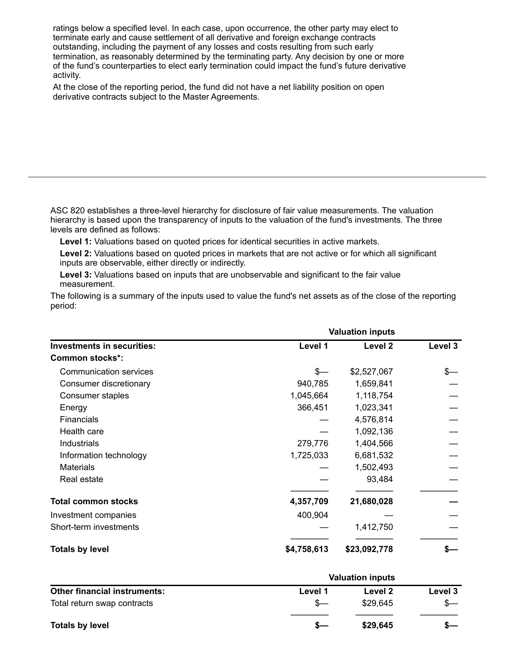ratings below a specified level. In each case, upon occurrence, the other party may elect to terminate early and cause settlement of all derivative and foreign exchange contracts outstanding, including the payment of any losses and costs resulting from such early termination, as reasonably determined by the terminating party. Any decision by one or more of the fund's counterparties to elect early termination could impact the fund's future derivative activity.

At the close of the reporting period, the fund did not have a net liability position on open derivative contracts subject to the Master Agreements.

ASC 820 establishes a three-level hierarchy for disclosure of fair value measurements. The valuation hierarchy is based upon the transparency of inputs to the valuation of the fund's investments. The three levels are defined as follows:

**Level 1:** Valuations based on quoted prices for identical securities in active markets.

**Level 2:** Valuations based on quoted prices in markets that are not active or for which all significant inputs are observable, either directly or indirectly.

**Level 3:** Valuations based on inputs that are unobservable and significant to the fair value measurement.

The following is a summary of the inputs used to value the fund's net assets as of the close of the reporting period:

|                                   | <b>Valuation inputs</b> |                    |         |
|-----------------------------------|-------------------------|--------------------|---------|
| <b>Investments in securities:</b> | Level 1                 | Level <sub>2</sub> | Level 3 |
| <b>Common stocks*:</b>            |                         |                    |         |
| Communication services            | $s-$                    | \$2,527,067        |         |
| Consumer discretionary            | 940,785                 | 1,659,841          |         |
| Consumer staples                  | 1,045,664               | 1,118,754          |         |
| Energy                            | 366,451                 | 1,023,341          |         |
| <b>Financials</b>                 |                         | 4,576,814          |         |
| Health care                       |                         | 1,092,136          |         |
| Industrials                       | 279,776                 | 1,404,566          |         |
| Information technology            | 1,725,033               | 6,681,532          |         |
| <b>Materials</b>                  |                         | 1,502,493          |         |
| Real estate                       |                         | 93,484             |         |
| <b>Total common stocks</b>        | 4,357,709               | 21,680,028         |         |
| Investment companies              | 400,904                 |                    |         |
| Short-term investments            |                         | 1,412,750          |         |
| <b>Totals by level</b>            | \$4,758,613             | \$23,092,778       |         |

|                                     | <b>Valuation inputs</b> |          |         |
|-------------------------------------|-------------------------|----------|---------|
| <b>Other financial instruments:</b> | Level 1                 | Level 2  | Level 3 |
| Total return swap contracts         |                         | \$29.645 |         |
| <b>Totals by level</b>              |                         | \$29,645 |         |